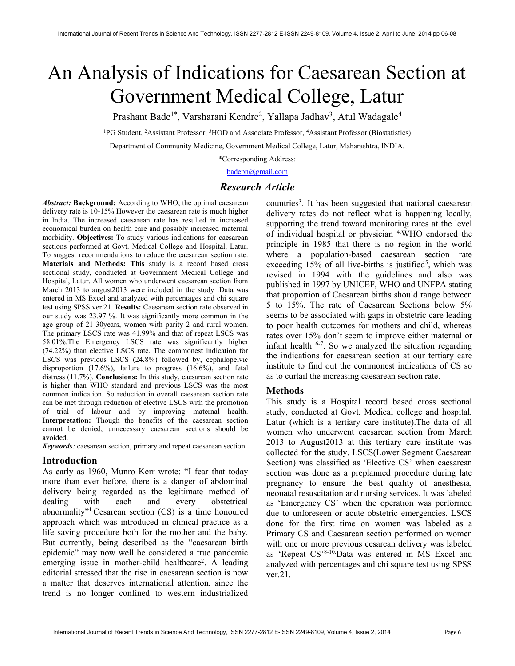# An Analysis of Indications for Caesarean Section at Government Medical College, Latur

Prashant Bade<sup>1\*</sup>, Varsharani Kendre<sup>2</sup>, Yallapa Jadhav<sup>3</sup>, Atul Wadagale<sup>4</sup>

<sup>1</sup>PG Student, <sup>2</sup>Assistant Professor, <sup>3</sup>HOD and Associate Professor, <sup>4</sup>Assistant Professor (Biostatistics)

Department of Community Medicine, Government Medical College, Latur, Maharashtra, INDIA.

\*Corresponding Address:

badepn@gmail.com

## Research Article

Abstract: Background: According to WHO, the optimal caesarean delivery rate is 10-15%.However the caesarean rate is much higher in India. The increased caesarean rate has resulted in increased economical burden on health care and possibly increased maternal morbidity. Objectives: To study various indications for caesarean sections performed at Govt. Medical College and Hospital, Latur. To suggest recommendations to reduce the caesarean section rate. Materials and Methods: This study is a record based cross sectional study, conducted at Government Medical College and Hospital, Latur. All women who underwent caesarean section from March 2013 to august2013 were included in the study .Data was entered in MS Excel and analyzed with percentages and chi square test using SPSS ver.21. Results: Caesarean section rate observed in our study was 23.97 %. It was significantly more common in the age group of 21-30years, women with parity 2 and rural women. The primary LSCS rate was 41.99% and that of repeat LSCS was 58.01%.The Emergency LSCS rate was significantly higher (74.22%) than elective LSCS rate. The commonest indication for LSCS was previous LSCS (24.8%) followed by, cephalopelvic disproportion (17.6%), failure to progress (16.6%), and fetal distress (11.7%). **Conclusions:** In this study, caesarean section rate is higher than WHO standard and previous LSCS was the most common indication. So reduction in overall caesarean section rate can be met through reduction of elective LSCS with the promotion of trial of labour and by improving maternal health. Interpretation: Though the benefits of the caesarean section cannot be denied, unnecessary caesarean sections should be avoided.

Keywords: caesarean section, primary and repeat caesarean section.

## Introduction

As early as 1960, Munro Kerr wrote: "I fear that today more than ever before, there is a danger of abdominal delivery being regarded as the legitimate method of dealing with each and every obstetrical abnormality"1.Cesarean section (CS) is a time honoured approach which was introduced in clinical practice as a life saving procedure both for the mother and the baby. But currently, being described as the "caesarean birth epidemic" may now well be considered a true pandemic emerging issue in mother-child healthcare<sup>2</sup>. A leading editorial stressed that the rise in caesarean section is now a matter that deserves international attention, since the trend is no longer confined to western industrialized

countries<sup>3</sup>. It has been suggested that national caesarean delivery rates do not reflect what is happening locally, supporting the trend toward monitoring rates at the level of individual hospital or physician 4.WHO endorsed the principle in 1985 that there is no region in the world where a population-based caesarean section rate exceeding  $15%$  of all live-births is justified<sup>5</sup>, which was revised in 1994 with the guidelines and also was published in 1997 by UNICEF, WHO and UNFPA stating that proportion of Caesarean births should range between 5 to 15%. The rate of Caesarean Sections below 5% seems to be associated with gaps in obstetric care leading to poor health outcomes for mothers and child, whereas rates over 15% don't seem to improve either maternal or infant health 6-7. So we analyzed the situation regarding the indications for caesarean section at our tertiary care institute to find out the commonest indications of CS so as to curtail the increasing caesarean section rate.

## Methods

This study is a Hospital record based cross sectional study, conducted at Govt. Medical college and hospital, Latur (which is a tertiary care institute).The data of all women who underwent caesarean section from March 2013 to August2013 at this tertiary care institute was collected for the study. LSCS(Lower Segment Caesarean Section) was classified as 'Elective CS' when caesarean section was done as a preplanned procedure during late pregnancy to ensure the best quality of anesthesia, neonatal resuscitation and nursing services. It was labeled as 'Emergency CS' when the operation was performed due to unforeseen or acute obstetric emergencies. LSCS done for the first time on women was labeled as a Primary CS and Caesarean section performed on women with one or more previous cesarean delivery was labeled as 'Repeat CS'8-10.Data was entered in MS Excel and analyzed with percentages and chi square test using SPSS ver.21.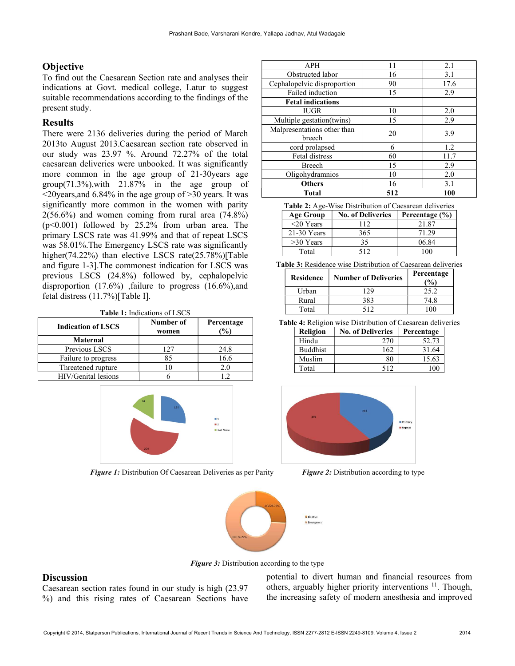# **Objective**

To find out the Caesarean Section rate and analyses their indications at Govt. medical college, Latur to suggest suitable recommendations according to the findings of the present study.

## Results

There were 2136 deliveries during the period of March 2013to August 2013.Caesarean section rate observed in our study was 23.97 %. Around 72.27% of the total caesarean deliveries were unbooked. It was significantly more common in the age group of 21-30years age group(71.3%),with 21.87% in the age group of <20years,and 6.84% in the age group of >30 years. It was significantly more common in the women with parity  $2(56.6\%)$  and women coming from rural area  $(74.8\%)$ (p<0.001) followed by 25.2% from urban area. The primary LSCS rate was 41.99% and that of repeat LSCS was 58.01%.The Emergency LSCS rate was significantly higher(74.22%) than elective LSCS rate(25.78%)[Table and figure 1-3].The commonest indication for LSCS was previous LSCS (24.8%) followed by, cephalopelvic disproportion  $(17.6\%)$ , failure to progress  $(16.6\%)$ , and fetal distress (11.7%)[Table I].

Table 1: Indications of LSCS

| <b>Indication of LSCS</b> | Number of<br>women | Percentage<br>$\mathcal{O}(0)$ |
|---------------------------|--------------------|--------------------------------|
| <b>Maternal</b>           |                    |                                |
| Previous LSCS             | 127                | 24.8                           |
| Failure to progress       | 85                 | 16.6                           |
| Threatened rupture        |                    | 21                             |
| HIV/Genital lesions       |                    |                                |



Figure 1: Distribution Of Caesarean Deliveries as per Parity Figure 2: Distribution according to type

| <b>APH</b>                  | 11  | 2.1  |  |
|-----------------------------|-----|------|--|
| Obstructed labor            | 16  | 3.1  |  |
| Cephalopelvic disproportion | 90  | 17.6 |  |
| Failed induction            | 15  | 2.9  |  |
| <b>Fetal indications</b>    |     |      |  |
| <b>IUGR</b>                 | 10  | 2.0  |  |
| Multiple gestation(twins)   | 15  | 2.9  |  |
| Malpresentations other than | 20  | 3.9  |  |
| breech                      |     |      |  |
| cord prolapsed              | 6   | 1.2  |  |
| Fetal distress              | 60  | 11.7 |  |
| <b>Breech</b>               | 15  | 2.9  |  |
| Oligohydramnios             | 10  | 2.0  |  |
| <b>Others</b>               | 16  | 3.1  |  |
| <b>Total</b>                | 512 | 100  |  |

| <b>Table 2:</b> Age-Wise Distribution of Caesarean deliveries |                          |                    |  |  |
|---------------------------------------------------------------|--------------------------|--------------------|--|--|
| <b>Age Group</b>                                              | <b>No. of Deliveries</b> | Percentage $(\% )$ |  |  |
| $<$ 20 Years                                                  | 112                      | 21.87              |  |  |
| $21-30$ Years                                                 | 365                      | 71.29              |  |  |
| $>30$ Years                                                   | 35                       | 06.84              |  |  |
| Total                                                         | 512                      | 100                |  |  |

Table 3: Residence wise Distribution of Caesarean deliveries

| <b>Residence</b> | <b>Number of Deliveries</b> | Percentage<br>(% |
|------------------|-----------------------------|------------------|
| Urban            | 29                          | 25.2             |
| Rural            | 383                         | 74.8             |
| Total            | 512                         |                  |

Table 4: Religion wise Distribution of Caesarean deliveries Religion No. of Deliveries Percentage

| кспеюн          | го. от репустем | т сгоспоре |
|-----------------|-----------------|------------|
| Hindu           | 270             | 52.73      |
| <b>Buddhist</b> | 162             | 31.64      |
| Muslim          | 80              | 15.63      |
| Total           | 512             | $\Omega$   |





**Figure 3:** Distribution according to the type

## **Discussion**

Caesarean section rates found in our study is high (23.97 %) and this rising rates of Caesarean Sections have potential to divert human and financial resources from others, arguably higher priority interventions <sup>11</sup>. Though, the increasing safety of modern anesthesia and improved